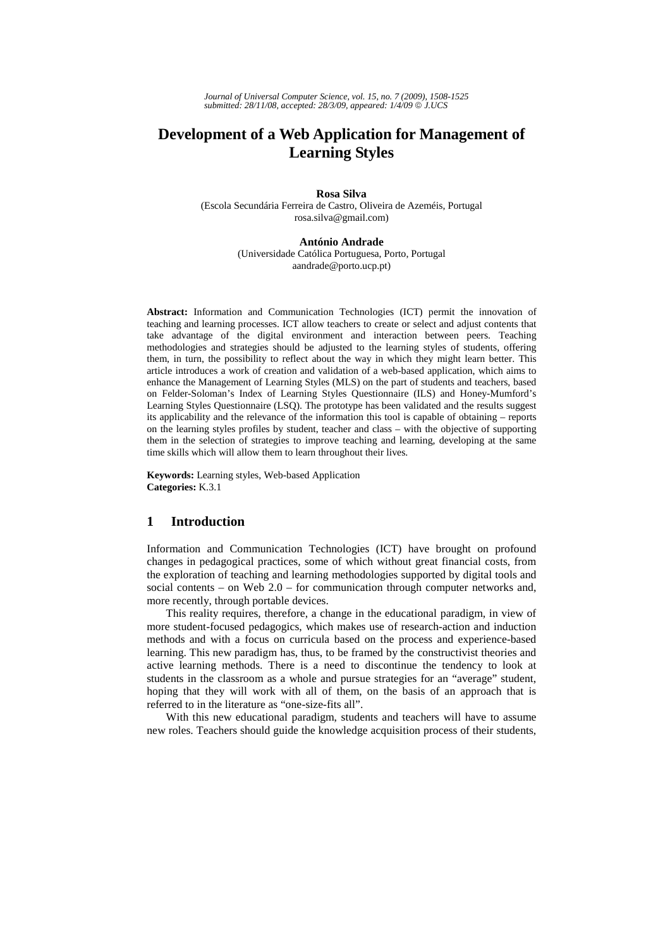*Journal of Universal Computer Science, vol. 15, no. 7 (2009), 1508-1525 submitted: 28/11/08, accepted: 28/3/09, appeared: 1/4/09* © *J.UCS*

# **Development of a Web Application for Management of Learning Styles**

**Rosa Silva** 

(Escola Secundária Ferreira de Castro, Oliveira de Azeméis, Portugal rosa.silva@gmail.com)

#### **António Andrade**

(Universidade Católica Portuguesa, Porto, Portugal aandrade@porto.ucp.pt)

**Abstract:** Information and Communication Technologies (ICT) permit the innovation of teaching and learning processes. ICT allow teachers to create or select and adjust contents that take advantage of the digital environment and interaction between peers. Teaching methodologies and strategies should be adjusted to the learning styles of students, offering them, in turn, the possibility to reflect about the way in which they might learn better. This article introduces a work of creation and validation of a web-based application, which aims to enhance the Management of Learning Styles (MLS) on the part of students and teachers, based on Felder-Soloman's Index of Learning Styles Questionnaire (ILS) and Honey-Mumford's Learning Styles Questionnaire (LSQ). The prototype has been validated and the results suggest its applicability and the relevance of the information this tool is capable of obtaining – reports on the learning styles profiles by student, teacher and class – with the objective of supporting them in the selection of strategies to improve teaching and learning, developing at the same time skills which will allow them to learn throughout their lives.

**Keywords:** Learning styles, Web-based Application **Categories:** K.3.1

#### **1 Introduction**

Information and Communication Technologies (ICT) have brought on profound changes in pedagogical practices, some of which without great financial costs, from the exploration of teaching and learning methodologies supported by digital tools and social contents – on Web  $2.0$  – for communication through computer networks and, more recently, through portable devices.

This reality requires, therefore, a change in the educational paradigm, in view of more student-focused pedagogics, which makes use of research-action and induction methods and with a focus on curricula based on the process and experience-based learning. This new paradigm has, thus, to be framed by the constructivist theories and active learning methods. There is a need to discontinue the tendency to look at students in the classroom as a whole and pursue strategies for an "average" student, hoping that they will work with all of them, on the basis of an approach that is referred to in the literature as "one-size-fits all".

With this new educational paradigm, students and teachers will have to assume new roles. Teachers should guide the knowledge acquisition process of their students,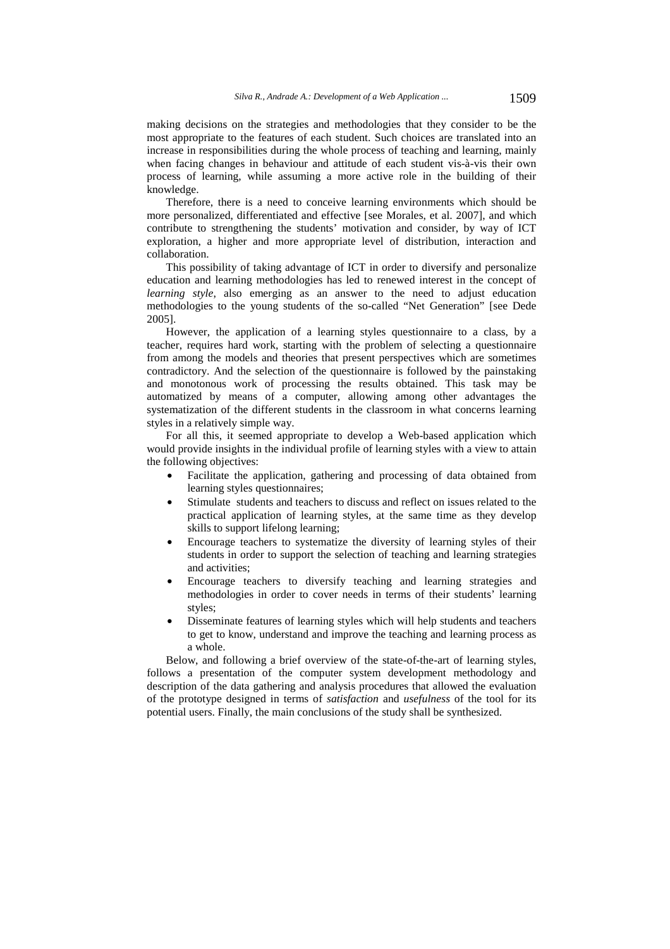making decisions on the strategies and methodologies that they consider to be the most appropriate to the features of each student. Such choices are translated into an increase in responsibilities during the whole process of teaching and learning, mainly when facing changes in behaviour and attitude of each student vis-à-vis their own process of learning, while assuming a more active role in the building of their knowledge.

Therefore, there is a need to conceive learning environments which should be more personalized, differentiated and effective [see Morales, et al. 2007], and which contribute to strengthening the students' motivation and consider, by way of ICT exploration, a higher and more appropriate level of distribution, interaction and collaboration.

This possibility of taking advantage of ICT in order to diversify and personalize education and learning methodologies has led to renewed interest in the concept of *learning style*, also emerging as an answer to the need to adjust education methodologies to the young students of the so-called "Net Generation" [see Dede 2005].

However, the application of a learning styles questionnaire to a class, by a teacher, requires hard work, starting with the problem of selecting a questionnaire from among the models and theories that present perspectives which are sometimes contradictory. And the selection of the questionnaire is followed by the painstaking and monotonous work of processing the results obtained. This task may be automatized by means of a computer, allowing among other advantages the systematization of the different students in the classroom in what concerns learning styles in a relatively simple way.

For all this, it seemed appropriate to develop a Web-based application which would provide insights in the individual profile of learning styles with a view to attain the following objectives:

- Facilitate the application, gathering and processing of data obtained from learning styles questionnaires;
- Stimulate students and teachers to discuss and reflect on issues related to the practical application of learning styles, at the same time as they develop skills to support lifelong learning;
- Encourage teachers to systematize the diversity of learning styles of their students in order to support the selection of teaching and learning strategies and activities;
- Encourage teachers to diversify teaching and learning strategies and methodologies in order to cover needs in terms of their students' learning styles;
- Disseminate features of learning styles which will help students and teachers to get to know, understand and improve the teaching and learning process as a whole.

Below, and following a brief overview of the state-of-the-art of learning styles, follows a presentation of the computer system development methodology and description of the data gathering and analysis procedures that allowed the evaluation of the prototype designed in terms of *satisfaction* and *usefulness* of the tool for its potential users. Finally, the main conclusions of the study shall be synthesized.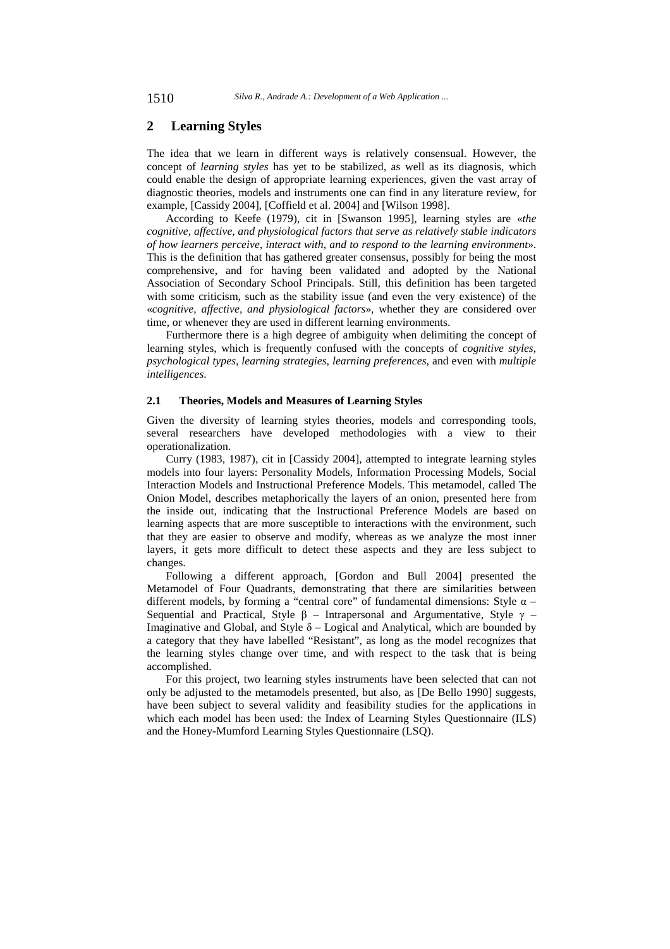1510 *Silva R., Andrade A.: Development of a Web Application ...*

# **2 Learning Styles**

The idea that we learn in different ways is relatively consensual. However, the concept of *learning styles* has yet to be stabilized, as well as its diagnosis, which could enable the design of appropriate learning experiences, given the vast array of diagnostic theories, models and instruments one can find in any literature review, for example, [Cassidy 2004], [Coffield et al. 2004] and [Wilson 1998].

According to Keefe (1979), cit in [Swanson 1995], learning styles are «*the cognitive, affective, and physiological factors that serve as relatively stable indicators of how learners perceive, interact with, and to respond to the learning environment*». This is the definition that has gathered greater consensus, possibly for being the most comprehensive, and for having been validated and adopted by the National Association of Secondary School Principals. Still, this definition has been targeted with some criticism, such as the stability issue (and even the very existence) of the «*cognitive, affective, and physiological factors*», whether they are considered over time, or whenever they are used in different learning environments.

Furthermore there is a high degree of ambiguity when delimiting the concept of learning styles, which is frequently confused with the concepts of *cognitive styles*, *psychological types*, *learning strategies*, *learning preferences*, and even with *multiple intelligences*.

### **2.1 Theories, Models and Measures of Learning Styles**

Given the diversity of learning styles theories, models and corresponding tools, several researchers have developed methodologies with a view to their operationalization.

Curry (1983, 1987), cit in [Cassidy 2004], attempted to integrate learning styles models into four layers: Personality Models, Information Processing Models, Social Interaction Models and Instructional Preference Models. This metamodel, called The Onion Model, describes metaphorically the layers of an onion, presented here from the inside out, indicating that the Instructional Preference Models are based on learning aspects that are more susceptible to interactions with the environment, such that they are easier to observe and modify, whereas as we analyze the most inner layers, it gets more difficult to detect these aspects and they are less subject to changes.

Following a different approach, [Gordon and Bull 2004] presented the Metamodel of Four Quadrants, demonstrating that there are similarities between different models, by forming a "central core" of fundamental dimensions: Style  $\alpha$  – Sequential and Practical, Style β – Intrapersonal and Argumentative, Style  $γ$  – Imaginative and Global, and Style  $\delta$  – Logical and Analytical, which are bounded by a category that they have labelled "Resistant", as long as the model recognizes that the learning styles change over time, and with respect to the task that is being accomplished.

For this project, two learning styles instruments have been selected that can not only be adjusted to the metamodels presented, but also, as [De Bello 1990] suggests, have been subject to several validity and feasibility studies for the applications in which each model has been used: the Index of Learning Styles Questionnaire (ILS) and the Honey-Mumford Learning Styles Questionnaire (LSQ).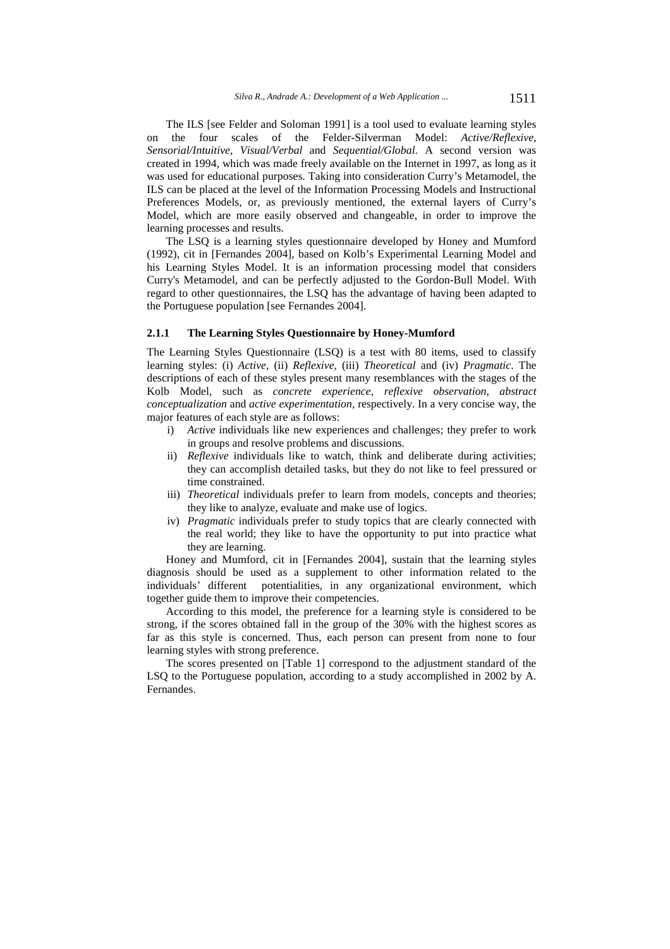The ILS [see Felder and Soloman 1991] is a tool used to evaluate learning styles on the four scales of the Felder-Silverman Model: *Active/Reflexive*, *Sensorial/Intuitive*, *Visual/Verbal* and *Sequential/Global*. A second version was created in 1994, which was made freely available on the Internet in 1997, as long as it was used for educational purposes. Taking into consideration Curry's Metamodel, the ILS can be placed at the level of the Information Processing Models and Instructional Preferences Models, or, as previously mentioned, the external layers of Curry's Model, which are more easily observed and changeable, in order to improve the learning processes and results.

The LSQ is a learning styles questionnaire developed by Honey and Mumford (1992), cit in [Fernandes 2004], based on Kolb's Experimental Learning Model and his Learning Styles Model. It is an information processing model that considers Curry's Metamodel, and can be perfectly adjusted to the Gordon-Bull Model. With regard to other questionnaires, the LSQ has the advantage of having been adapted to the Portuguese population [see Fernandes 2004].

#### **2.1.1 The Learning Styles Questionnaire by Honey-Mumford**

The Learning Styles Questionnaire (LSQ) is a test with 80 items, used to classify learning styles: (i) *Active*, (ii) *Reflexive*, (iii) *Theoretical* and (iv) *Pragmatic*. The descriptions of each of these styles present many resemblances with the stages of the Kolb Model, such as *concrete experience*, *reflexive observation*, *abstract conceptualization* and *active experimentation*, respectively. In a very concise way, the major features of each style are as follows:

- i) *Active* individuals like new experiences and challenges; they prefer to work in groups and resolve problems and discussions.
- ii) *Reflexive* individuals like to watch, think and deliberate during activities; they can accomplish detailed tasks, but they do not like to feel pressured or time constrained.
- iii) *Theoretical* individuals prefer to learn from models, concepts and theories; they like to analyze, evaluate and make use of logics.
- iv) *Pragmatic* individuals prefer to study topics that are clearly connected with the real world; they like to have the opportunity to put into practice what they are learning.

Honey and Mumford, cit in [Fernandes 2004], sustain that the learning styles diagnosis should be used as a supplement to other information related to the individuals' different potentialities, in any organizational environment, which together guide them to improve their competencies.

According to this model, the preference for a learning style is considered to be strong, if the scores obtained fall in the group of the 30% with the highest scores as far as this style is concerned. Thus, each person can present from none to four learning styles with strong preference.

The scores presented on [Table 1] correspond to the adjustment standard of the LSQ to the Portuguese population, according to a study accomplished in 2002 by A. Fernandes.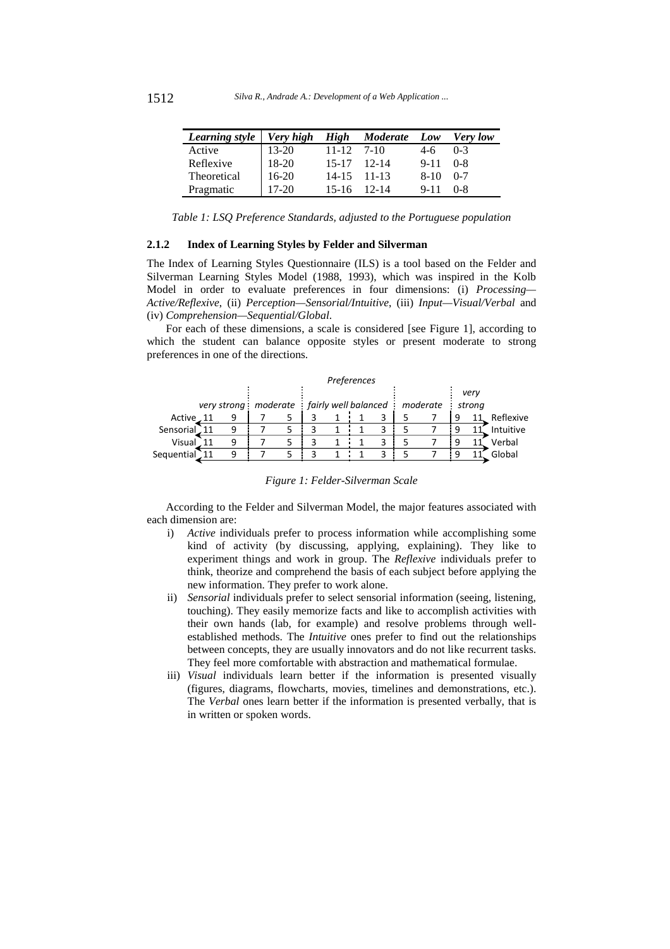| Learning style   Very high High Moderate Low Very low |           |              |                 |            |         |
|-------------------------------------------------------|-----------|--------------|-----------------|------------|---------|
| Active                                                | 13-20     | $11-12$ 7-10 |                 | 4-6        | $0-3$   |
| Reflexive                                             | $18-20$   |              | $15-17$ 12-14   | $9-11$ 0-8 |         |
| Theoretical                                           | $16-20$   |              | $14-15$ 11-13   | $8-10$     | $0 - 7$ |
| Pragmatic                                             | $17 - 20$ |              | $15-16$ $12-14$ | $9 - 11$   | $0 - 8$ |

*Table 1: LSQ Preference Standards, adjusted to the Portuguese population* 

### **2.1.2 Index of Learning Styles by Felder and Silverman**

The Index of Learning Styles Questionnaire (ILS) is a tool based on the Felder and Silverman Learning Styles Model (1988, 1993), which was inspired in the Kolb Model in order to evaluate preferences in four dimensions: (i) *Processing— Active/Reflexive*, (ii) *Perception—Sensorial/Intuitive*, (iii) *Input—Visual/Verbal* and (iv) *Comprehension—Sequential/Global*.

For each of these dimensions, a scale is considered [see Figure 1], according to which the student can balance opposite styles or present moderate to strong preferences in one of the directions.

|             | Preferences |   |  |  |  |  |  |   |                                                               |   |      |           |
|-------------|-------------|---|--|--|--|--|--|---|---------------------------------------------------------------|---|------|-----------|
|             |             |   |  |  |  |  |  |   |                                                               |   | very |           |
|             |             |   |  |  |  |  |  |   | very strong: moderate: fairly well balanced: moderate: strong |   |      |           |
| Active, 11  |             | q |  |  |  |  |  |   |                                                               | 9 |      | Reflexive |
| Sensorial   |             |   |  |  |  |  |  | 3 |                                                               |   |      | Intuitive |
| Visual      |             | q |  |  |  |  |  | ว |                                                               | q |      | Verbal    |
| Sequential. |             |   |  |  |  |  |  |   |                                                               | 9 |      | Global    |

|  |  |  | Figure 1: Felder-Silverman Scale |  |
|--|--|--|----------------------------------|--|
|--|--|--|----------------------------------|--|

According to the Felder and Silverman Model, the major features associated with each dimension are:

- i) *Active* individuals prefer to process information while accomplishing some kind of activity (by discussing, applying, explaining). They like to experiment things and work in group. The *Reflexive* individuals prefer to think, theorize and comprehend the basis of each subject before applying the new information. They prefer to work alone.
- ii) *Sensorial* individuals prefer to select sensorial information (seeing, listening, touching). They easily memorize facts and like to accomplish activities with their own hands (lab, for example) and resolve problems through wellestablished methods. The *Intuitive* ones prefer to find out the relationships between concepts, they are usually innovators and do not like recurrent tasks. They feel more comfortable with abstraction and mathematical formulae.
- iii) *Visual* individuals learn better if the information is presented visually (figures, diagrams, flowcharts, movies, timelines and demonstrations, etc.). The *Verbal* ones learn better if the information is presented verbally, that is in written or spoken words.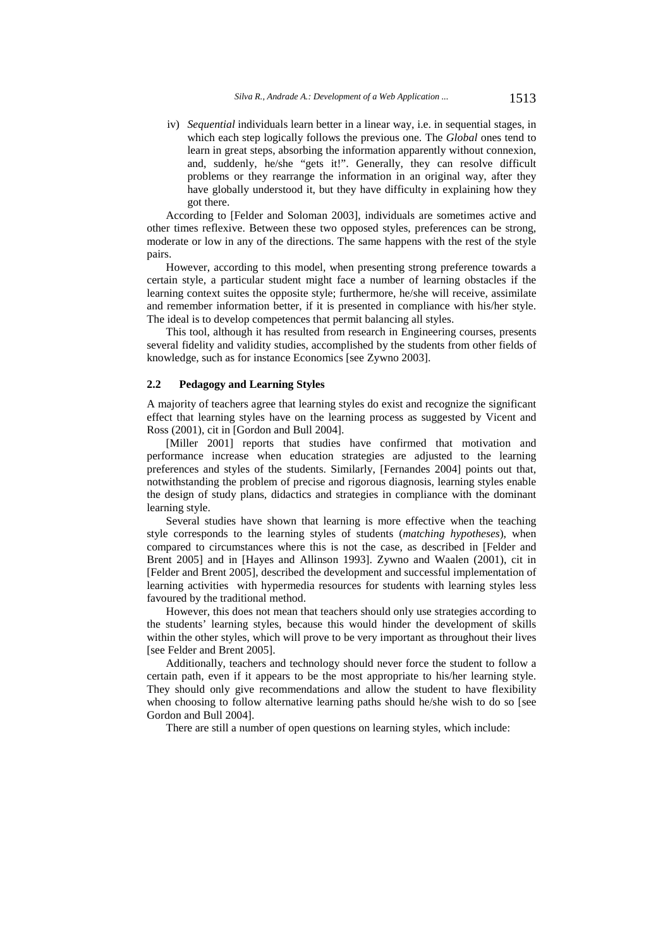iv) *Sequential* individuals learn better in a linear way, i.e. in sequential stages, in which each step logically follows the previous one. The *Global* ones tend to learn in great steps, absorbing the information apparently without connexion, and, suddenly, he/she "gets it!". Generally, they can resolve difficult problems or they rearrange the information in an original way, after they have globally understood it, but they have difficulty in explaining how they got there.

According to [Felder and Soloman 2003], individuals are sometimes active and other times reflexive. Between these two opposed styles, preferences can be strong, moderate or low in any of the directions. The same happens with the rest of the style pairs.

However, according to this model, when presenting strong preference towards a certain style, a particular student might face a number of learning obstacles if the learning context suites the opposite style; furthermore, he/she will receive, assimilate and remember information better, if it is presented in compliance with his/her style. The ideal is to develop competences that permit balancing all styles.

This tool, although it has resulted from research in Engineering courses, presents several fidelity and validity studies, accomplished by the students from other fields of knowledge, such as for instance Economics [see Zywno 2003].

#### **2.2 Pedagogy and Learning Styles**

A majority of teachers agree that learning styles do exist and recognize the significant effect that learning styles have on the learning process as suggested by Vicent and Ross (2001), cit in [Gordon and Bull 2004].

[Miller 2001] reports that studies have confirmed that motivation and performance increase when education strategies are adjusted to the learning preferences and styles of the students. Similarly, [Fernandes 2004] points out that, notwithstanding the problem of precise and rigorous diagnosis, learning styles enable the design of study plans, didactics and strategies in compliance with the dominant learning style.

Several studies have shown that learning is more effective when the teaching style corresponds to the learning styles of students (*matching hypotheses*), when compared to circumstances where this is not the case, as described in [Felder and Brent 2005] and in [Hayes and Allinson 1993]. Zywno and Waalen (2001), cit in [Felder and Brent 2005], described the development and successful implementation of learning activities with hypermedia resources for students with learning styles less favoured by the traditional method.

However, this does not mean that teachers should only use strategies according to the students' learning styles, because this would hinder the development of skills within the other styles, which will prove to be very important as throughout their lives [see Felder and Brent 2005].

Additionally, teachers and technology should never force the student to follow a certain path, even if it appears to be the most appropriate to his/her learning style. They should only give recommendations and allow the student to have flexibility when choosing to follow alternative learning paths should he/she wish to do so [see Gordon and Bull 2004].

There are still a number of open questions on learning styles, which include: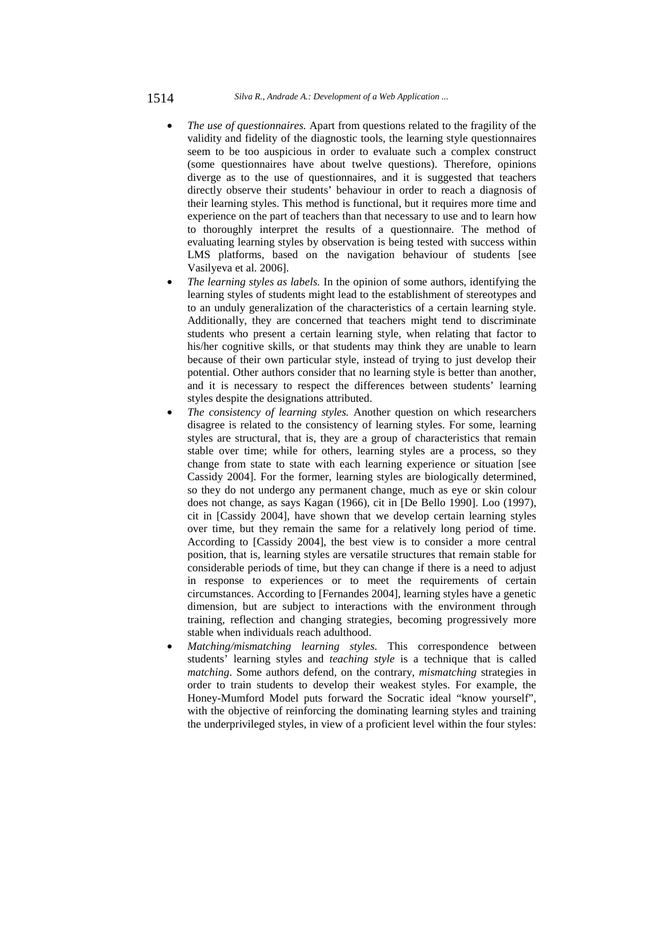- *The use of questionnaires.* Apart from questions related to the fragility of the validity and fidelity of the diagnostic tools, the learning style questionnaires seem to be too auspicious in order to evaluate such a complex construct (some questionnaires have about twelve questions). Therefore, opinions diverge as to the use of questionnaires, and it is suggested that teachers directly observe their students' behaviour in order to reach a diagnosis of their learning styles. This method is functional, but it requires more time and experience on the part of teachers than that necessary to use and to learn how to thoroughly interpret the results of a questionnaire. The method of evaluating learning styles by observation is being tested with success within LMS platforms, based on the navigation behaviour of students [see Vasilyeva et al. 2006].
- *The learning styles as labels.* In the opinion of some authors, identifying the learning styles of students might lead to the establishment of stereotypes and to an unduly generalization of the characteristics of a certain learning style. Additionally, they are concerned that teachers might tend to discriminate students who present a certain learning style, when relating that factor to his/her cognitive skills, or that students may think they are unable to learn because of their own particular style, instead of trying to just develop their potential. Other authors consider that no learning style is better than another, and it is necessary to respect the differences between students' learning styles despite the designations attributed.
- *The consistency of learning styles.* Another question on which researchers disagree is related to the consistency of learning styles. For some, learning styles are structural, that is, they are a group of characteristics that remain stable over time; while for others, learning styles are a process, so they change from state to state with each learning experience or situation [see Cassidy 2004]. For the former, learning styles are biologically determined, so they do not undergo any permanent change, much as eye or skin colour does not change, as says Kagan (1966), cit in [De Bello 1990]. Loo (1997), cit in [Cassidy 2004], have shown that we develop certain learning styles over time, but they remain the same for a relatively long period of time. According to [Cassidy 2004], the best view is to consider a more central position, that is, learning styles are versatile structures that remain stable for considerable periods of time, but they can change if there is a need to adjust in response to experiences or to meet the requirements of certain circumstances. According to [Fernandes 2004], learning styles have a genetic dimension, but are subject to interactions with the environment through training, reflection and changing strategies, becoming progressively more stable when individuals reach adulthood.
- *Matching/mismatching learning styles.* This correspondence between students' learning styles and *teaching style* is a technique that is called *matching*. Some authors defend, on the contrary, *mismatching* strategies in order to train students to develop their weakest styles. For example, the Honey-Mumford Model puts forward the Socratic ideal "know yourself", with the objective of reinforcing the dominating learning styles and training the underprivileged styles, in view of a proficient level within the four styles: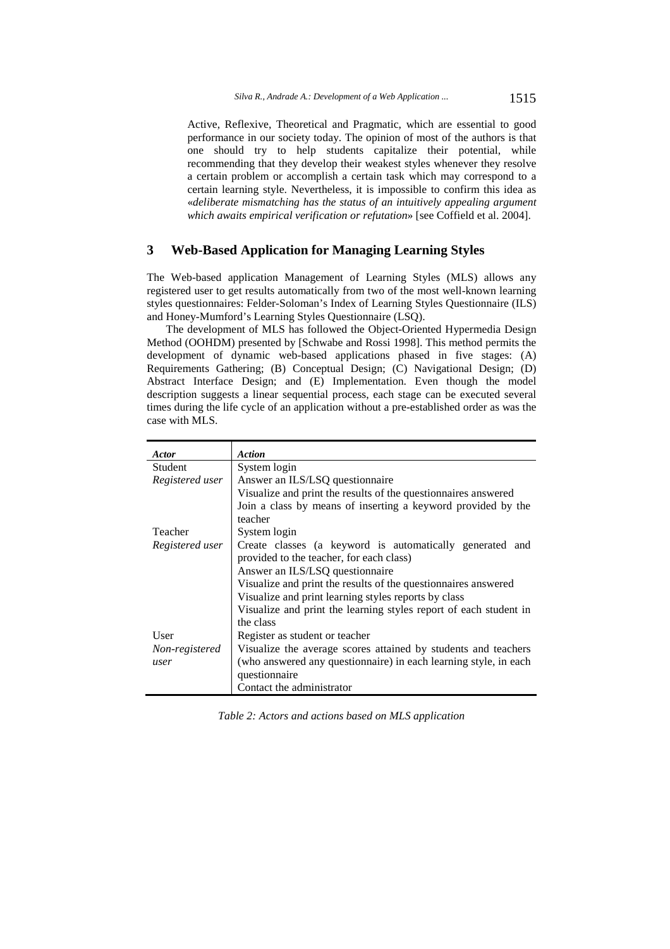Active, Reflexive, Theoretical and Pragmatic, which are essential to good performance in our society today. The opinion of most of the authors is that one should try to help students capitalize their potential, while recommending that they develop their weakest styles whenever they resolve a certain problem or accomplish a certain task which may correspond to a certain learning style. Nevertheless, it is impossible to confirm this idea as «*deliberate mismatching has the status of an intuitively appealing argument which awaits empirical verification or refutation*» [see Coffield et al. 2004].

# **3 Web-Based Application for Managing Learning Styles**

The Web-based application Management of Learning Styles (MLS) allows any registered user to get results automatically from two of the most well-known learning styles questionnaires: Felder-Soloman's Index of Learning Styles Questionnaire (ILS) and Honey-Mumford's Learning Styles Questionnaire (LSQ).

The development of MLS has followed the Object-Oriented Hypermedia Design Method (OOHDM) presented by [Schwabe and Rossi 1998]. This method permits the development of dynamic web-based applications phased in five stages: (A) Requirements Gathering; (B) Conceptual Design; (C) Navigational Design; (D) Abstract Interface Design; and (E) Implementation. Even though the model description suggests a linear sequential process, each stage can be executed several times during the life cycle of an application without a pre-established order as was the case with MLS.

| Actor           | <b>Action</b>                                                     |  |  |  |  |  |
|-----------------|-------------------------------------------------------------------|--|--|--|--|--|
| Student         | System login                                                      |  |  |  |  |  |
| Registered user | Answer an ILS/LSQ questionnaire                                   |  |  |  |  |  |
|                 | Visualize and print the results of the question aires answered    |  |  |  |  |  |
|                 | Join a class by means of inserting a keyword provided by the      |  |  |  |  |  |
|                 | teacher                                                           |  |  |  |  |  |
| Teacher         | System login                                                      |  |  |  |  |  |
| Registered user | Create classes (a keyword is automatically generated and          |  |  |  |  |  |
|                 | provided to the teacher, for each class)                          |  |  |  |  |  |
|                 | Answer an ILS/LSQ questionnaire                                   |  |  |  |  |  |
|                 | Visualize and print the results of the questionnaires answered    |  |  |  |  |  |
|                 | Visualize and print learning styles reports by class              |  |  |  |  |  |
|                 | Visualize and print the learning styles report of each student in |  |  |  |  |  |
|                 | the class                                                         |  |  |  |  |  |
| User            | Register as student or teacher                                    |  |  |  |  |  |
| Non-registered  | Visualize the average scores attained by students and teachers    |  |  |  |  |  |
| user            | (who answered any questionnaire) in each learning style, in each  |  |  |  |  |  |
|                 | questionnaire                                                     |  |  |  |  |  |
|                 | Contact the administrator                                         |  |  |  |  |  |

*Table 2: Actors and actions based on MLS application*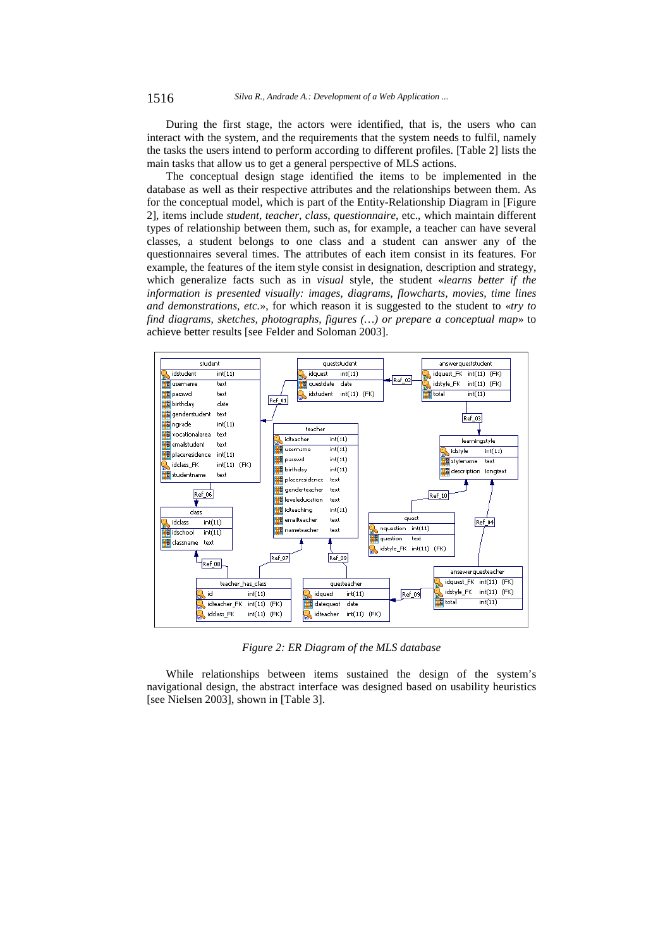During the first stage, the actors were identified, that is, the users who can interact with the system, and the requirements that the system needs to fulfil, namely the tasks the users intend to perform according to different profiles. [Table 2] lists the main tasks that allow us to get a general perspective of MLS actions.

The conceptual design stage identified the items to be implemented in the database as well as their respective attributes and the relationships between them. As for the conceptual model, which is part of the Entity-Relationship Diagram in [Figure 2], items include *student*, *teacher*, *class*, *questionnaire*, etc., which maintain different types of relationship between them, such as, for example, a teacher can have several classes, a student belongs to one class and a student can answer any of the questionnaires several times. The attributes of each item consist in its features. For example, the features of the item style consist in designation, description and strategy, which generalize facts such as in *visual* style, the student «*learns better if the information is presented visually: images, diagrams, flowcharts, movies, time lines and demonstrations, etc.*», for which reason it is suggested to the student to «*try to find diagrams, sketches, photographs, figures (…) or prepare a conceptual map*» to achieve better results [see Felder and Soloman 2003].



*Figure 2: ER Diagram of the MLS database* 

While relationships between items sustained the design of the system's navigational design, the abstract interface was designed based on usability heuristics [see Nielsen 2003], shown in [Table 3].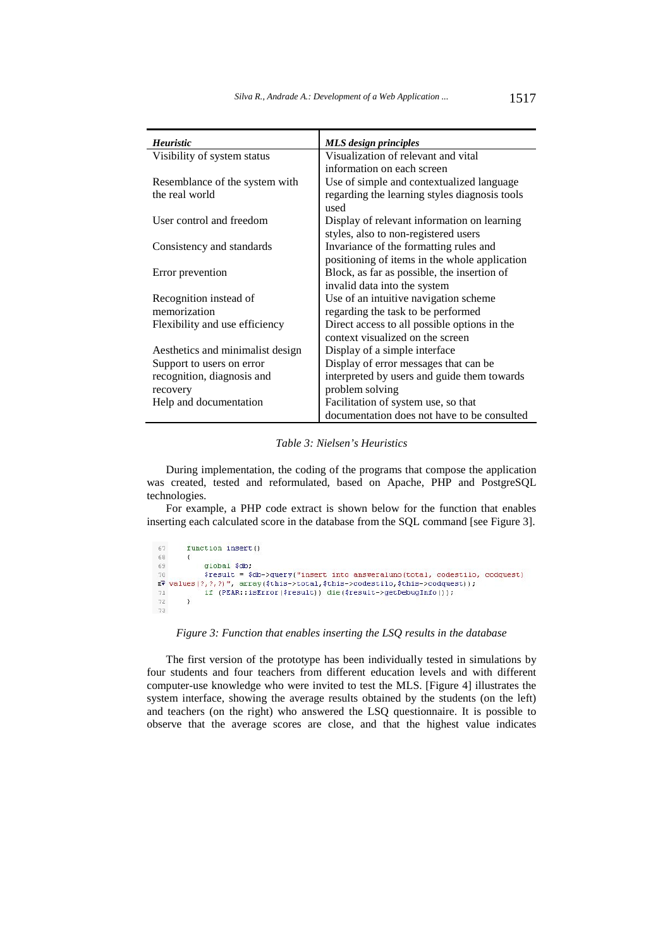| <b>Heuristic</b>                 | <b>MLS</b> design principles                  |
|----------------------------------|-----------------------------------------------|
| Visibility of system status      | Visualization of relevant and vital           |
|                                  | information on each screen                    |
| Resemblance of the system with   | Use of simple and contextualized language     |
| the real world                   | regarding the learning styles diagnosis tools |
|                                  | used                                          |
| User control and freedom         | Display of relevant information on learning   |
|                                  | styles, also to non-registered users          |
| Consistency and standards        | Invariance of the formatting rules and        |
|                                  | positioning of items in the whole application |
| Error prevention                 | Block, as far as possible, the insertion of   |
|                                  | invalid data into the system                  |
| Recognition instead of           | Use of an intuitive navigation scheme         |
| memorization                     | regarding the task to be performed            |
| Flexibility and use efficiency   | Direct access to all possible options in the  |
|                                  | context visualized on the screen              |
| Aesthetics and minimalist design | Display of a simple interface                 |
| Support to users on error        | Display of error messages that can be         |
| recognition, diagnosis and       | interpreted by users and guide them towards   |
| recovery                         | problem solving                               |
| Help and documentation           | Facilitation of system use, so that           |
|                                  | documentation does not have to be consulted   |

*Table 3: Nielsen's Heuristics* 

l.

During implementation, the coding of the programs that compose the application was created, tested and reformulated, based on Apache, PHP and PostgreSQL technologies.

For example, a PHP code extract is shown below for the function that enables inserting each calculated score in the database from the SQL command [see Figure 3].

| 67 | function insert()                                                                          |
|----|--------------------------------------------------------------------------------------------|
| 68 |                                                                                            |
| 69 | global \$db:                                                                               |
| 70 | $$result = $db->query("insert into answeraluno(total, codestilo, codquest)$                |
|    | $\mathbb{E}$ P values(?, ?, ?)", array(\$this->total,\$this->codestilo,\$this->codquest)); |
| 71 | if (PEAR::isError(\$result)) die(\$result->getDebugInfo());                                |
| 72 |                                                                                            |
| 73 |                                                                                            |

# *Figure 3: Function that enables inserting the LSQ results in the database*

The first version of the prototype has been individually tested in simulations by four students and four teachers from different education levels and with different computer-use knowledge who were invited to test the MLS. [Figure 4] illustrates the system interface, showing the average results obtained by the students (on the left) and teachers (on the right) who answered the LSQ questionnaire. It is possible to observe that the average scores are close, and that the highest value indicates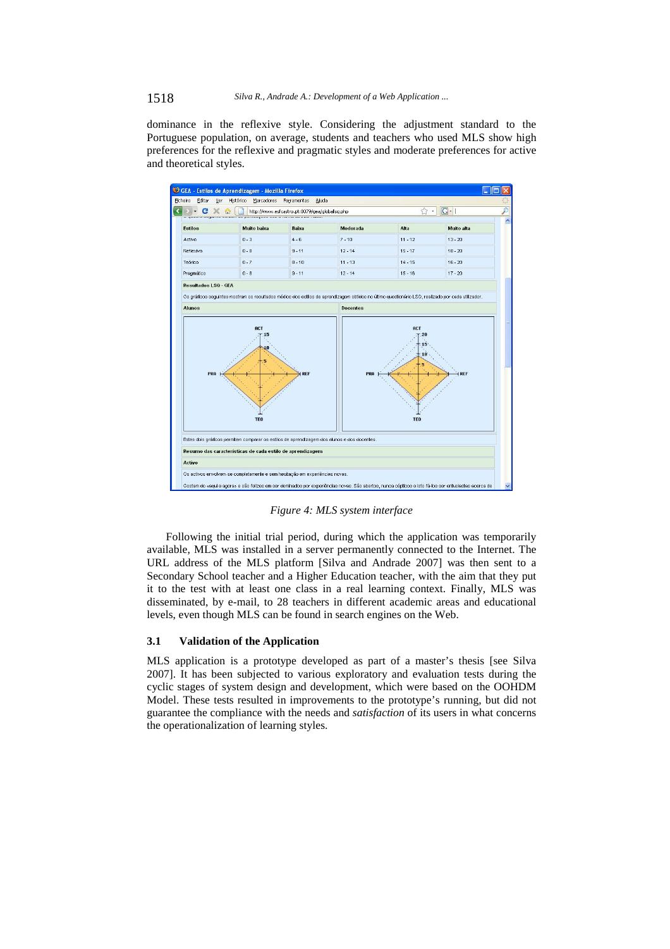dominance in the reflexive style. Considering the adjustment standard to the Portuguese population, on average, students and teachers who used MLS show high preferences for the reflexive and pragmatic styles and moderate preferences for active and theoretical styles.



*Figure 4: MLS system interface* 

Following the initial trial period, during which the application was temporarily available, MLS was installed in a server permanently connected to the Internet. The URL address of the MLS platform [Silva and Andrade 2007] was then sent to a Secondary School teacher and a Higher Education teacher, with the aim that they put it to the test with at least one class in a real learning context. Finally, MLS was disseminated, by e-mail, to 28 teachers in different academic areas and educational levels, even though MLS can be found in search engines on the Web.

#### **3.1 Validation of the Application**

MLS application is a prototype developed as part of a master's thesis [see Silva 2007]. It has been subjected to various exploratory and evaluation tests during the cyclic stages of system design and development, which were based on the OOHDM Model. These tests resulted in improvements to the prototype's running, but did not guarantee the compliance with the needs and *satisfaction* of its users in what concerns the operationalization of learning styles.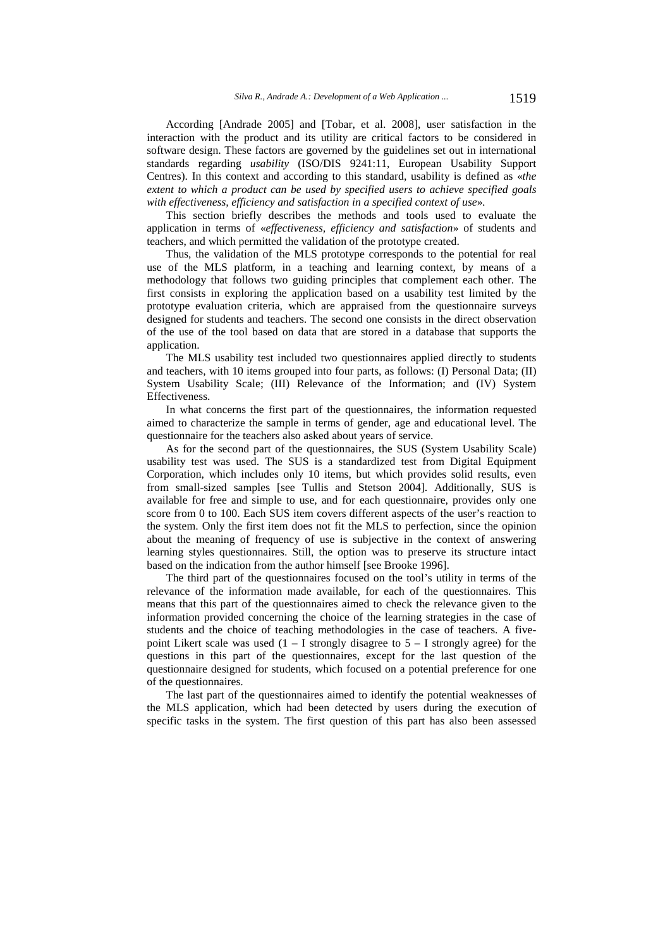According [Andrade 2005] and [Tobar, et al. 2008], user satisfaction in the interaction with the product and its utility are critical factors to be considered in software design. These factors are governed by the guidelines set out in international standards regarding *usability* (ISO/DIS 9241:11, European Usability Support Centres). In this context and according to this standard, usability is defined as «*the extent to which a product can be used by specified users to achieve specified goals with effectiveness, efficiency and satisfaction in a specified context of use*».

This section briefly describes the methods and tools used to evaluate the application in terms of «*effectiveness, efficiency and satisfaction*» of students and teachers, and which permitted the validation of the prototype created.

Thus, the validation of the MLS prototype corresponds to the potential for real use of the MLS platform, in a teaching and learning context, by means of a methodology that follows two guiding principles that complement each other. The first consists in exploring the application based on a usability test limited by the prototype evaluation criteria, which are appraised from the questionnaire surveys designed for students and teachers. The second one consists in the direct observation of the use of the tool based on data that are stored in a database that supports the application.

The MLS usability test included two questionnaires applied directly to students and teachers, with 10 items grouped into four parts, as follows: (I) Personal Data; (II) System Usability Scale; (III) Relevance of the Information; and (IV) System Effectiveness.

In what concerns the first part of the questionnaires, the information requested aimed to characterize the sample in terms of gender, age and educational level. The questionnaire for the teachers also asked about years of service.

As for the second part of the questionnaires, the SUS (System Usability Scale) usability test was used. The SUS is a standardized test from Digital Equipment Corporation, which includes only 10 items, but which provides solid results, even from small-sized samples [see Tullis and Stetson 2004]. Additionally, SUS is available for free and simple to use, and for each questionnaire, provides only one score from 0 to 100. Each SUS item covers different aspects of the user's reaction to the system. Only the first item does not fit the MLS to perfection, since the opinion about the meaning of frequency of use is subjective in the context of answering learning styles questionnaires. Still, the option was to preserve its structure intact based on the indication from the author himself [see Brooke 1996].

The third part of the questionnaires focused on the tool's utility in terms of the relevance of the information made available, for each of the questionnaires. This means that this part of the questionnaires aimed to check the relevance given to the information provided concerning the choice of the learning strategies in the case of students and the choice of teaching methodologies in the case of teachers. A fivepoint Likert scale was used  $(1 - I$  strongly disagree to  $5 - I$  strongly agree) for the questions in this part of the questionnaires, except for the last question of the questionnaire designed for students, which focused on a potential preference for one of the questionnaires.

The last part of the questionnaires aimed to identify the potential weaknesses of the MLS application, which had been detected by users during the execution of specific tasks in the system. The first question of this part has also been assessed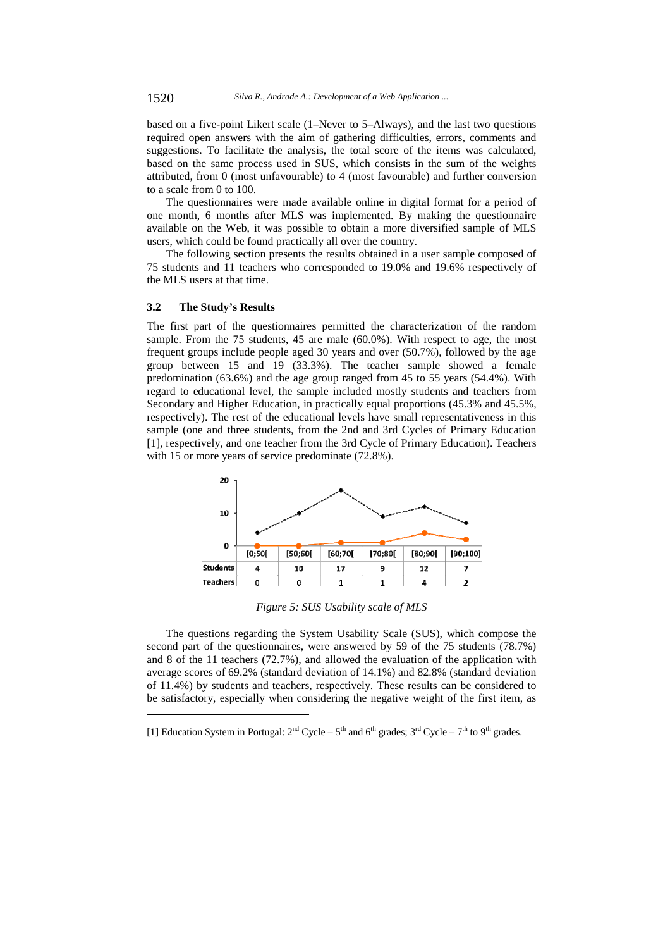based on a five-point Likert scale (1–Never to 5–Always), and the last two questions required open answers with the aim of gathering difficulties, errors, comments and suggestions. To facilitate the analysis, the total score of the items was calculated, based on the same process used in SUS, which consists in the sum of the weights attributed, from 0 (most unfavourable) to 4 (most favourable) and further conversion to a scale from 0 to 100.

The questionnaires were made available online in digital format for a period of one month, 6 months after MLS was implemented. By making the questionnaire available on the Web, it was possible to obtain a more diversified sample of MLS users, which could be found practically all over the country.

The following section presents the results obtained in a user sample composed of 75 students and 11 teachers who corresponded to 19.0% and 19.6% respectively of the MLS users at that time.

#### **3.2 The Study's Results**

l

The first part of the questionnaires permitted the characterization of the random sample. From the 75 students, 45 are male (60.0%). With respect to age, the most frequent groups include people aged 30 years and over (50.7%), followed by the age group between 15 and 19 (33.3%). The teacher sample showed a female predomination (63.6%) and the age group ranged from 45 to 55 years (54.4%). With regard to educational level, the sample included mostly students and teachers from Secondary and Higher Education, in practically equal proportions (45.3% and 45.5%, respectively). The rest of the educational levels have small representativeness in this sample (one and three students, from the 2nd and 3rd Cycles of Primary Education [1], respectively, and one teacher from the 3rd Cycle of Primary Education). Teachers with 15 or more years of service predominate (72.8%).



*Figure 5: SUS Usability scale of MLS* 

The questions regarding the System Usability Scale (SUS), which compose the second part of the questionnaires, were answered by 59 of the 75 students (78.7%) and 8 of the 11 teachers (72.7%), and allowed the evaluation of the application with average scores of 69.2% (standard deviation of 14.1%) and 82.8% (standard deviation of 11.4%) by students and teachers, respectively. These results can be considered to be satisfactory, especially when considering the negative weight of the first item, as

<sup>[1]</sup> Education System in Portugal:  $2^{nd}$  Cycle –  $5^{th}$  and  $6^{th}$  grades;  $3^{rd}$  Cycle –  $7^{th}$  to  $9^{th}$  grades.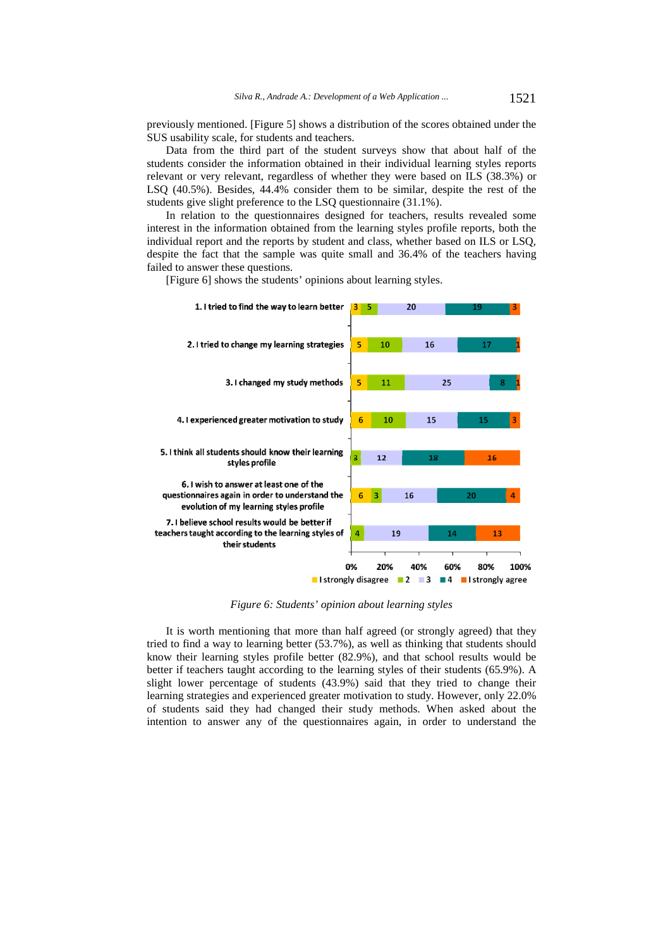previously mentioned. [Figure 5] shows a distribution of the scores obtained under the SUS usability scale, for students and teachers.

Data from the third part of the student surveys show that about half of the students consider the information obtained in their individual learning styles reports relevant or very relevant, regardless of whether they were based on ILS (38.3%) or LSQ (40.5%). Besides, 44.4% consider them to be similar, despite the rest of the students give slight preference to the LSQ questionnaire (31.1%).

In relation to the questionnaires designed for teachers, results revealed some interest in the information obtained from the learning styles profile reports, both the individual report and the reports by student and class, whether based on ILS or LSQ, despite the fact that the sample was quite small and 36.4% of the teachers having failed to answer these questions.

[Figure 6] shows the students' opinions about learning styles.



*Figure 6: Students' opinion about learning styles* 

It is worth mentioning that more than half agreed (or strongly agreed) that they tried to find a way to learning better (53.7%), as well as thinking that students should know their learning styles profile better (82.9%), and that school results would be better if teachers taught according to the learning styles of their students (65.9%). A slight lower percentage of students (43.9%) said that they tried to change their learning strategies and experienced greater motivation to study. However, only 22.0% of students said they had changed their study methods. When asked about the intention to answer any of the questionnaires again, in order to understand the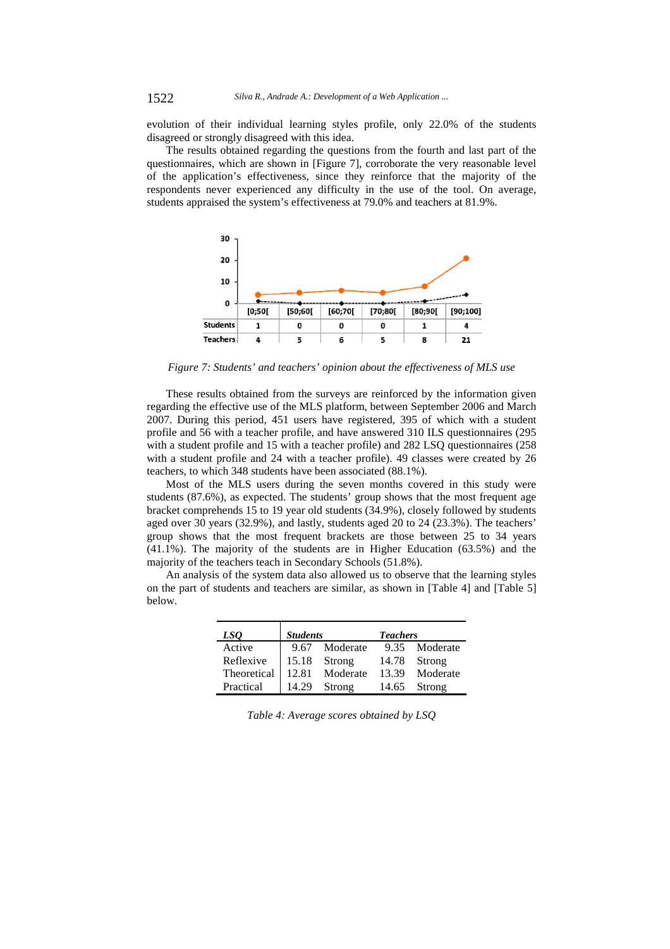evolution of their individual learning styles profile, only 22.0% of the students disagreed or strongly disagreed with this idea.

The results obtained regarding the questions from the fourth and last part of the questionnaires, which are shown in [Figure 7], corroborate the very reasonable level of the application's effectiveness, since they reinforce that the majority of the respondents never experienced any difficulty in the use of the tool. On average, students appraised the system's effectiveness at 79.0% and teachers at 81.9%.



*Figure 7: Students' and teachers' opinion about the effectiveness of MLS use* 

These results obtained from the surveys are reinforced by the information given regarding the effective use of the MLS platform, between September 2006 and March 2007. During this period, 451 users have registered, 395 of which with a student profile and 56 with a teacher profile, and have answered 310 ILS questionnaires (295 with a student profile and 15 with a teacher profile) and 282 LSQ questionnaires (258 with a student profile and 24 with a teacher profile). 49 classes were created by 26 teachers, to which 348 students have been associated (88.1%).

Most of the MLS users during the seven months covered in this study were students (87.6%), as expected. The students' group shows that the most frequent age bracket comprehends 15 to 19 year old students (34.9%), closely followed by students aged over 30 years (32.9%), and lastly, students aged 20 to 24 (23.3%). The teachers' group shows that the most frequent brackets are those between 25 to 34 years (41.1%). The majority of the students are in Higher Education (63.5%) and the majority of the teachers teach in Secondary Schools (51.8%).

An analysis of the system data also allowed us to observe that the learning styles on the part of students and teachers are similar, as shown in [Table 4] and [Table 5] below.

| LSO         | <b>Students</b> |          | <b>Teachers</b> |               |  |  |
|-------------|-----------------|----------|-----------------|---------------|--|--|
| Active      | 9.67            | Moderate |                 | 9.35 Moderate |  |  |
| Reflexive   | 15.18           | Strong   | 14.78           | Strong        |  |  |
| Theoretical | 12.81           | Moderate | 13.39           | Moderate      |  |  |
| Practical   | 14.29           | Strong   | 14.65           | Strong        |  |  |

*Table 4: Average scores obtained by LSQ*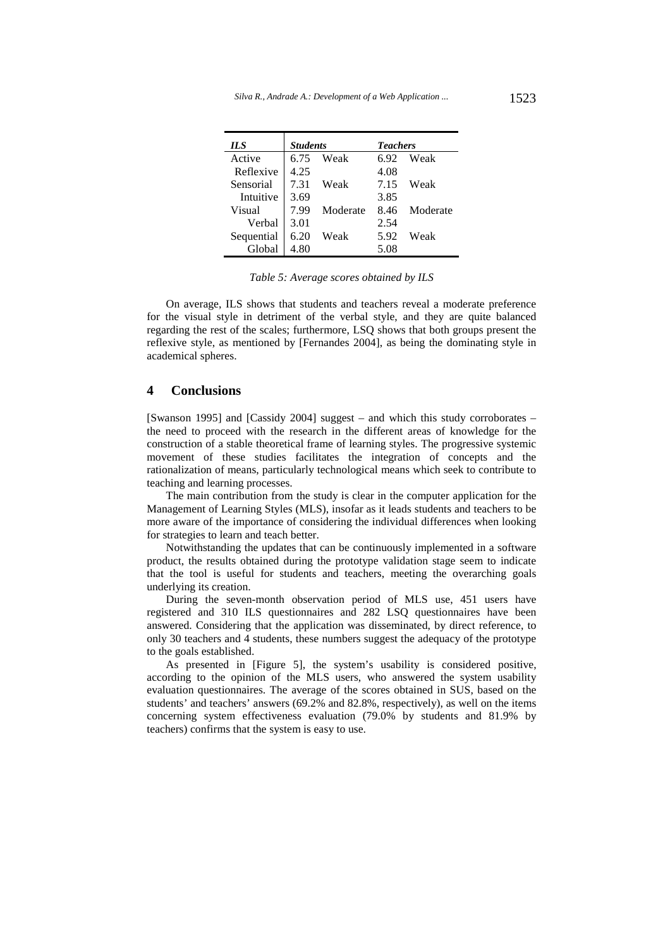| ILS        | <b>Students</b> |          | <b>Teachers</b> |          |  |
|------------|-----------------|----------|-----------------|----------|--|
| Active     | 6.75            | Weak     | 6.92            | Weak     |  |
| Reflexive  | 4.25            |          | 4.08            |          |  |
| Sensorial  | 7.31            | Weak     | 7.15            | Weak     |  |
| Intuitive  | 3.69            |          | 3.85            |          |  |
| Visual     | 7.99            | Moderate | 8.46            | Moderate |  |
| Verbal     | 3.01            |          | 2.54            |          |  |
| Sequential | 6.20            | Weak     | 5.92            | Weak     |  |
| Global     | 4.80            |          | 5.08            |          |  |

*Table 5: Average scores obtained by ILS* 

On average, ILS shows that students and teachers reveal a moderate preference for the visual style in detriment of the verbal style, and they are quite balanced regarding the rest of the scales; furthermore, LSQ shows that both groups present the reflexive style, as mentioned by [Fernandes 2004], as being the dominating style in academical spheres.

# **4 Conclusions**

[Swanson 1995] and [Cassidy 2004] suggest – and which this study corroborates – the need to proceed with the research in the different areas of knowledge for the construction of a stable theoretical frame of learning styles. The progressive systemic movement of these studies facilitates the integration of concepts and the rationalization of means, particularly technological means which seek to contribute to teaching and learning processes.

The main contribution from the study is clear in the computer application for the Management of Learning Styles (MLS), insofar as it leads students and teachers to be more aware of the importance of considering the individual differences when looking for strategies to learn and teach better.

Notwithstanding the updates that can be continuously implemented in a software product, the results obtained during the prototype validation stage seem to indicate that the tool is useful for students and teachers, meeting the overarching goals underlying its creation.

During the seven-month observation period of MLS use, 451 users have registered and 310 ILS questionnaires and 282 LSQ questionnaires have been answered. Considering that the application was disseminated, by direct reference, to only 30 teachers and 4 students, these numbers suggest the adequacy of the prototype to the goals established.

As presented in [Figure 5], the system's usability is considered positive, according to the opinion of the MLS users, who answered the system usability evaluation questionnaires. The average of the scores obtained in SUS, based on the students' and teachers' answers (69.2% and 82.8%, respectively), as well on the items concerning system effectiveness evaluation (79.0% by students and 81.9% by teachers) confirms that the system is easy to use.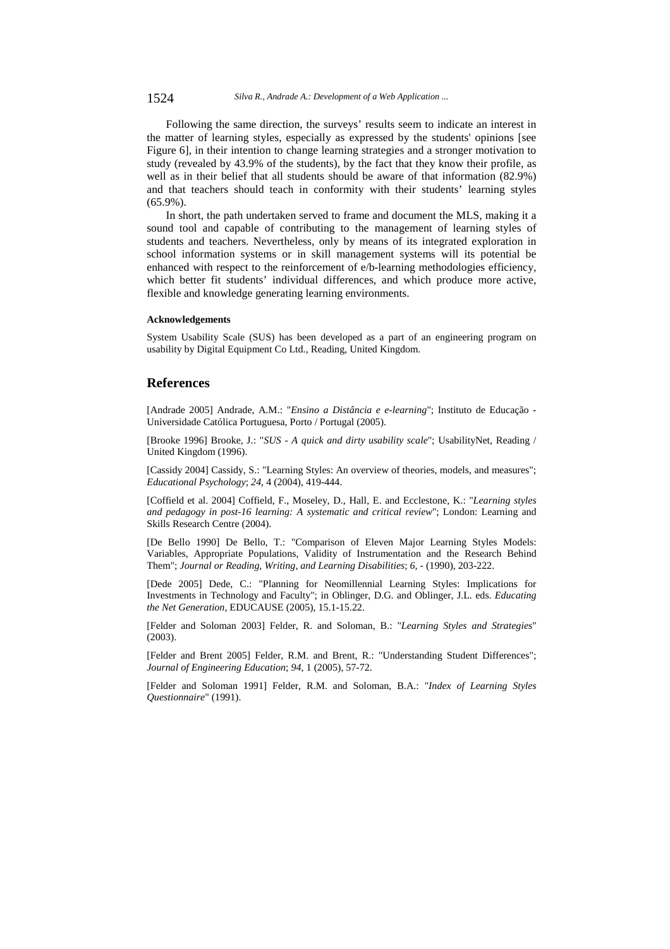Following the same direction, the surveys' results seem to indicate an interest in the matter of learning styles, especially as expressed by the students' opinions [see Figure 6], in their intention to change learning strategies and a stronger motivation to study (revealed by 43.9% of the students), by the fact that they know their profile, as well as in their belief that all students should be aware of that information (82.9%) and that teachers should teach in conformity with their students' learning styles (65.9%).

In short, the path undertaken served to frame and document the MLS, making it a sound tool and capable of contributing to the management of learning styles of students and teachers. Nevertheless, only by means of its integrated exploration in school information systems or in skill management systems will its potential be enhanced with respect to the reinforcement of e/b-learning methodologies efficiency, which better fit students' individual differences, and which produce more active, flexible and knowledge generating learning environments.

#### **Acknowledgements**

System Usability Scale (SUS) has been developed as a part of an engineering program on usability by Digital Equipment Co Ltd., Reading, United Kingdom.

### **References**

[Andrade 2005] Andrade, A.M.: "*Ensino a Distância e e-learning*"; Instituto de Educação - Universidade Católica Portuguesa, Porto / Portugal (2005).

[Brooke 1996] Brooke, J.: "*SUS - A quick and dirty usability scale*"; UsabilityNet, Reading / United Kingdom (1996).

[Cassidy 2004] Cassidy, S.: "Learning Styles: An overview of theories, models, and measures"; *Educational Psychology*; *24*, 4 (2004), 419-444.

[Coffield et al. 2004] Coffield, F., Moseley, D., Hall, E. and Ecclestone, K.: "*Learning styles and pedagogy in post-16 learning: A systematic and critical review*"; London: Learning and Skills Research Centre (2004).

[De Bello 1990] De Bello, T.: "Comparison of Eleven Major Learning Styles Models: Variables, Appropriate Populations, Validity of Instrumentation and the Research Behind Them"; *Journal or Reading, Writing, and Learning Disabilities*; *6*, - (1990), 203-222.

[Dede 2005] Dede, C.: "Planning for Neomillennial Learning Styles: Implications for Investments in Technology and Faculty"; in Oblinger, D.G. and Oblinger, J.L. eds. *Educating the Net Generation*, EDUCAUSE (2005), 15.1-15.22.

[Felder and Soloman 2003] Felder, R. and Soloman, B.: "*Learning Styles and Strategies*" (2003).

[Felder and Brent 2005] Felder, R.M. and Brent, R.: "Understanding Student Differences"; *Journal of Engineering Education*; *94*, 1 (2005), 57-72.

[Felder and Soloman 1991] Felder, R.M. and Soloman, B.A.: "*Index of Learning Styles Questionnaire*" (1991).